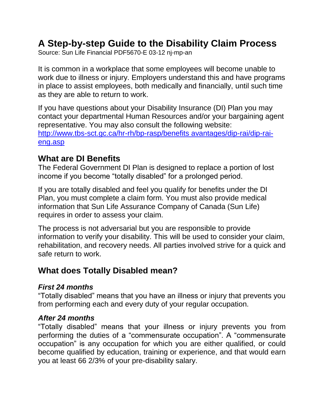# **A Step-by-step Guide to the Disability Claim Process**

Source: Sun Life Financial PDF5670-E 03-12 nj-mp-an

It is common in a workplace that some employees will become unable to work due to illness or injury. Employers understand this and have programs in place to assist employees, both medically and financially, until such time as they are able to return to work.

If you have questions about your Disability Insurance (DI) Plan you may contact your departmental Human Resources and/or your bargaining agent representative. You may also consult the following website: [http://www.tbs-sct.gc.ca/hr-rh/bp-rasp/benefits avantages/dip-rai/dip-rai](http://www.tbs-sct.gc.ca/hr-rh/bp-rasp/benefits%20avantages/dip-rai/dip-rai-eng.asp)[eng.asp](http://www.tbs-sct.gc.ca/hr-rh/bp-rasp/benefits%20avantages/dip-rai/dip-rai-eng.asp)

## **What are DI Benefits**

The Federal Government DI Plan is designed to replace a portion of lost income if you become "totally disabled" for a prolonged period.

If you are totally disabled and feel you qualify for benefits under the DI Plan, you must complete a claim form. You must also provide medical information that Sun Life Assurance Company of Canada (Sun Life) requires in order to assess your claim.

The process is not adversarial but you are responsible to provide information to verify your disability. This will be used to consider your claim, rehabilitation, and recovery needs. All parties involved strive for a quick and safe return to work.

## **What does Totally Disabled mean?**

### *First 24 months*

"Totally disabled" means that you have an illness or injury that prevents you from performing each and every duty of your regular occupation.

#### *After 24 months*

"Totally disabled" means that your illness or injury prevents you from performing the duties of a "commensurate occupation". A "commensurate occupation" is any occupation for which you are either qualified, or could become qualified by education, training or experience, and that would earn you at least 66 2/3% of your pre-disability salary.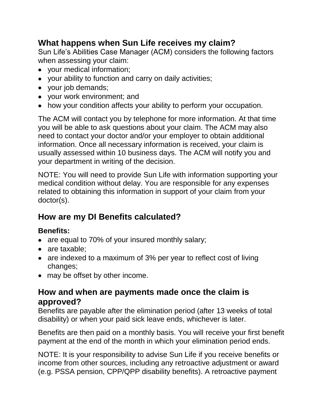## **What happens when Sun Life receives my claim?**

Sun Life's Abilities Case Manager (ACM) considers the following factors when assessing your claim:

- your medical information;
- your ability to function and carry on daily activities;
- your job demands;
- your work environment; and
- how your condition affects your ability to perform your occupation.

The ACM will contact you by telephone for more information. At that time you will be able to ask questions about your claim. The ACM may also need to contact your doctor and/or your employer to obtain additional information. Once all necessary information is received, your claim is usually assessed within 10 business days. The ACM will notify you and your department in writing of the decision.

NOTE: You will need to provide Sun Life with information supporting your medical condition without delay. You are responsible for any expenses related to obtaining this information in support of your claim from your doctor(s).

## **How are my DI Benefits calculated?**

## **Benefits:**

- are equal to 70% of your insured monthly salary;
- are taxable:
- are indexed to a maximum of 3% per year to reflect cost of living changes;
- may be offset by other income.

## **How and when are payments made once the claim is approved?**

Benefits are payable after the elimination period (after 13 weeks of total disability) or when your paid sick leave ends, whichever is later.

Benefits are then paid on a monthly basis. You will receive your first benefit payment at the end of the month in which your elimination period ends.

NOTE: It is your responsibility to advise Sun Life if you receive benefits or income from other sources, including any retroactive adjustment or award (e.g. PSSA pension, CPP/QPP disability benefits). A retroactive payment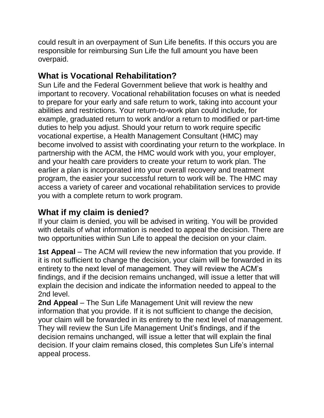could result in an overpayment of Sun Life benefits. If this occurs you are responsible for reimbursing Sun Life the full amount you have been overpaid.

## **What is Vocational Rehabilitation?**

Sun Life and the Federal Government believe that work is healthy and important to recovery. Vocational rehabilitation focuses on what is needed to prepare for your early and safe return to work, taking into account your abilities and restrictions. Your return-to-work plan could include, for example, graduated return to work and/or a return to modified or part-time duties to help you adjust. Should your return to work require specific vocational expertise, a Health Management Consultant (HMC) may become involved to assist with coordinating your return to the workplace. In partnership with the ACM, the HMC would work with you, your employer, and your health care providers to create your return to work plan. The earlier a plan is incorporated into your overall recovery and treatment program, the easier your successful return to work will be. The HMC may access a variety of career and vocational rehabilitation services to provide you with a complete return to work program.

## **What if my claim is denied?**

If your claim is denied, you will be advised in writing. You will be provided with details of what information is needed to appeal the decision. There are two opportunities within Sun Life to appeal the decision on your claim.

**1st Appeal** – The ACM will review the new information that you provide. If it is not sufficient to change the decision, your claim will be forwarded in its entirety to the next level of management. They will review the ACM's findings, and if the decision remains unchanged, will issue a letter that will explain the decision and indicate the information needed to appeal to the 2nd level.

**2nd Appeal** – The Sun Life Management Unit will review the new information that you provide. If it is not sufficient to change the decision, your claim will be forwarded in its entirety to the next level of management. They will review the Sun Life Management Unit's findings, and if the decision remains unchanged, will issue a letter that will explain the final decision. If your claim remains closed, this completes Sun Life's internal appeal process.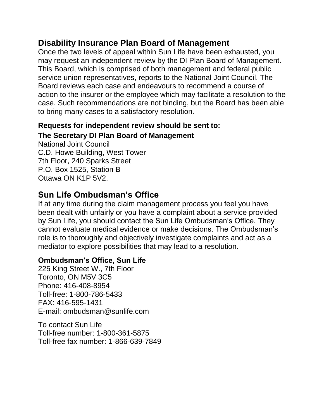## **Disability Insurance Plan Board of Management**

Once the two levels of appeal within Sun Life have been exhausted, you may request an independent review by the DI Plan Board of Management. This Board, which is comprised of both management and federal public service union representatives, reports to the National Joint Council. The Board reviews each case and endeavours to recommend a course of action to the insurer or the employee which may facilitate a resolution to the case. Such recommendations are not binding, but the Board has been able to bring many cases to a satisfactory resolution.

### **Requests for independent review should be sent to:**

### **The Secretary DI Plan Board of Management**

National Joint Council C.D. Howe Building, West Tower 7th Floor, 240 Sparks Street P.O. Box 1525, Station B Ottawa ON K1P 5V2.

## **Sun Life Ombudsman's Office**

If at any time during the claim management process you feel you have been dealt with unfairly or you have a complaint about a service provided by Sun Life, you should contact the Sun Life Ombudsman's Office. They cannot evaluate medical evidence or make decisions. The Ombudsman's role is to thoroughly and objectively investigate complaints and act as a mediator to explore possibilities that may lead to a resolution.

#### **Ombudsman's Office, Sun Life**

225 King Street W., 7th Floor Toronto, ON M5V 3C5 Phone: 416-408-8954 Toll-free: 1-800-786-5433 FAX: 416-595-1431 E-mail: ombudsman@sunlife.com

To contact Sun Life Toll-free number: 1-800-361-5875 Toll-free fax number: 1-866-639-7849